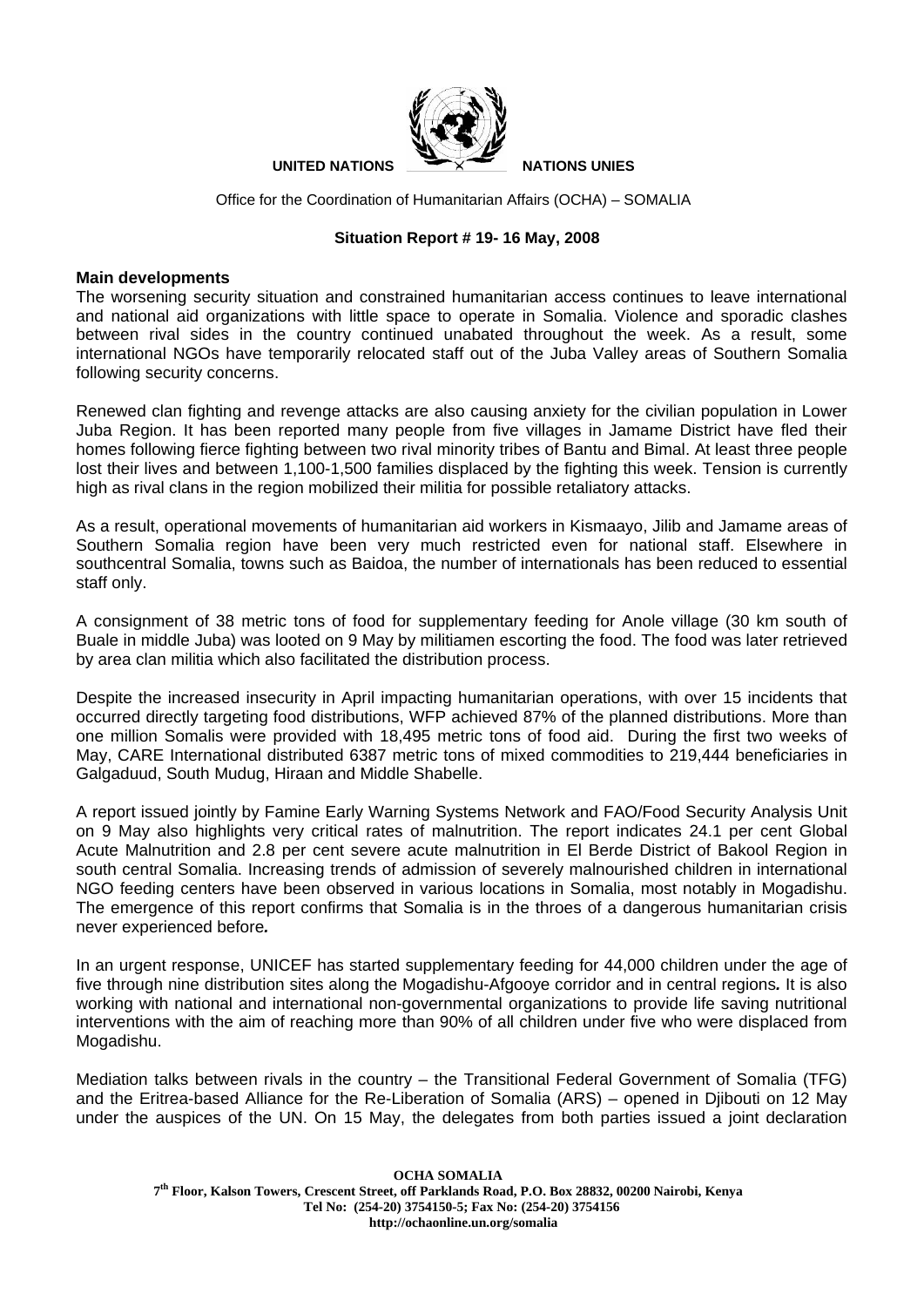

Office for the Coordination of Humanitarian Affairs (OCHA) – SOMALIA

## **Situation Report # 19- 16 May, 2008**

## **Main developments**

The worsening security situation and constrained humanitarian access continues to leave international and national aid organizations with little space to operate in Somalia. Violence and sporadic clashes between rival sides in the country continued unabated throughout the week. As a result, some international NGOs have temporarily relocated staff out of the Juba Valley areas of Southern Somalia following security concerns.

Renewed clan fighting and revenge attacks are also causing anxiety for the civilian population in Lower Juba Region. It has been reported many people from five villages in Jamame District have fled their homes following fierce fighting between two rival minority tribes of Bantu and Bimal. At least three people lost their lives and between 1,100-1,500 families displaced by the fighting this week. Tension is currently high as rival clans in the region mobilized their militia for possible retaliatory attacks.

As a result, operational movements of humanitarian aid workers in Kismaayo, Jilib and Jamame areas of Southern Somalia region have been very much restricted even for national staff. Elsewhere in southcentral Somalia, towns such as Baidoa, the number of internationals has been reduced to essential staff only.

A consignment of 38 metric tons of food for supplementary feeding for Anole village (30 km south of Buale in middle Juba) was looted on 9 May by militiamen escorting the food. The food was later retrieved by area clan militia which also facilitated the distribution process.

Despite the increased insecurity in April impacting humanitarian operations, with over 15 incidents that occurred directly targeting food distributions, WFP achieved 87% of the planned distributions. More than one million Somalis were provided with 18,495 metric tons of food aid. During the first two weeks of May, CARE International distributed 6387 metric tons of mixed commodities to 219,444 beneficiaries in Galgaduud, South Mudug, Hiraan and Middle Shabelle.

A report issued jointly by Famine Early Warning Systems Network and FAO/Food Security Analysis Unit on 9 May also highlights very critical rates of malnutrition. The report indicates 24.1 per cent Global Acute Malnutrition and 2.8 per cent severe acute malnutrition in El Berde District of Bakool Region in south central Somalia. Increasing trends of admission of severely malnourished children in international NGO feeding centers have been observed in various locations in Somalia, most notably in Mogadishu. The emergence of this report confirms that Somalia is in the throes of a dangerous humanitarian crisis never experienced before*.* 

In an urgent response, UNICEF has started supplementary feeding for 44,000 children under the age of five through nine distribution sites along the Mogadishu-Afgooye corridor and in central regions*.* It is also working with national and international non-governmental organizations to provide life saving nutritional interventions with the aim of reaching more than 90% of all children under five who were displaced from Mogadishu.

Mediation talks between rivals in the country – the Transitional Federal Government of Somalia (TFG) and the Eritrea-based Alliance for the Re-Liberation of Somalia (ARS) – opened in Djibouti on 12 May under the auspices of the UN. On 15 May, the delegates from both parties issued a joint declaration

**OCHA SOMALIA 7th Floor, Kalson Towers, Crescent Street, off Parklands Road, P.O. Box 28832, 00200 Nairobi, Kenya Tel No: (254-20) 3754150-5; Fax No: (254-20) 3754156 http://ochaonline.un.org/somalia**